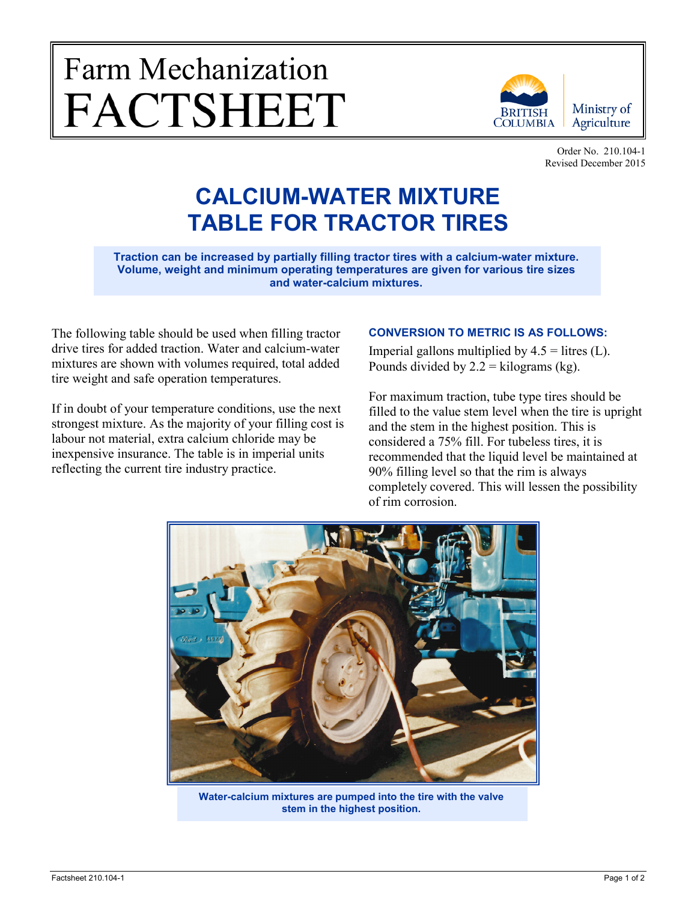## Farm Mechanization **FACTSHEET**



Order No. 210.104-1 Revised December 2015

## **CALCIUM-WATER MIXTURE TABLE FOR TRACTOR TIRES**

**Traction can be increased by partially filling tractor tires with a calcium-water mixture. Volume, weight and minimum operating temperatures are given for various tire sizes and water-calcium mixtures.**

The following table should be used when filling tractor drive tires for added traction. Water and calcium-water mixtures are shown with volumes required, total added tire weight and safe operation temperatures.

If in doubt of your temperature conditions, use the next strongest mixture. As the majority of your filling cost is labour not material, extra calcium chloride may be inexpensive insurance. The table is in imperial units reflecting the current tire industry practice.

## **CONVERSION TO METRIC IS AS FOLLOWS:**

Imperial gallons multiplied by  $4.5$  = litres (L). Pounds divided by  $2.2 =$  kilograms (kg).

For maximum traction, tube type tires should be filled to the value stem level when the tire is upright and the stem in the highest position. This is considered a 75% fill. For tubeless tires, it is recommended that the liquid level be maintained at 90% filling level so that the rim is always completely covered. This will lessen the possibility of rim corrosion.



**Water-calcium mixtures are pumped into the tire with the valve stem in the highest position.**